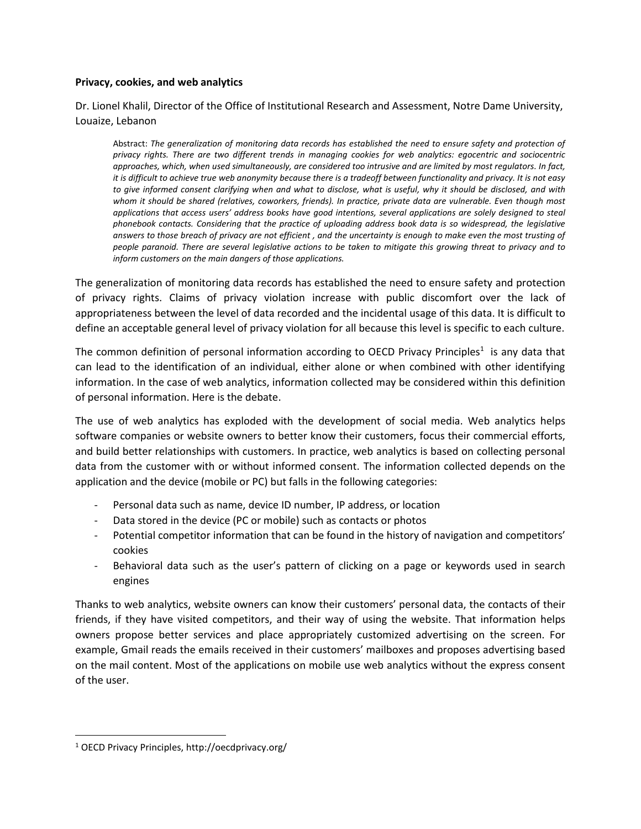### **Privacy, cookies, and web analytics**

Dr. Lionel Khalil, Director of the Office of Institutional Research and Assessment, Notre Dame University, Louaize, Lebanon

Abstract: *The generalization of monitoring data records has established the need to ensure safety and protection of privacy rights. There are two different trends in managing cookies for web analytics: egocentric and sociocentric approaches, which, when used simultaneously, are considered too intrusive and are limited by most regulators. In fact, it is difficult to achieve true web anonymity because there is a tradeoff between functionality and privacy. It is not easy to give informed consent clarifying when and what to disclose, what is useful, why it should be disclosed, and with whom it should be shared (relatives, coworkers, friends). In practice, private data are vulnerable. Even though most applications that access users' address books have good intentions, several applications are solely designed to steal phonebook contacts. Considering that the practice of uploading address book data is so widespread, the legislative answers to those breach of privacy are not efficient , and the uncertainty is enough to make even the most trusting of people paranoid. There are several legislative actions to be taken to mitigate this growing threat to privacy and to inform customers on the main dangers of those applications.* 

The generalization of monitoring data records has established the need to ensure safety and protection of privacy rights. Claims of privacy violation increase with public discomfort over the lack of appropriateness between the level of data recorded and the incidental usage of this data. It is difficult to define an acceptable general level of privacy violation for all because this level is specific to each culture.

The common definition of personal information according to OECD Privacy Principles<sup>1</sup> is any data that can lead to the identification of an individual, either alone or when combined with other identifying information. In the case of web analytics, information collected may be considered within this definition of personal information. Here is the debate.

The use of web analytics has exploded with the development of social media. Web analytics helps software companies or website owners to better know their customers, focus their commercial efforts, and build better relationships with customers. In practice, web analytics is based on collecting personal data from the customer with or without informed consent. The information collected depends on the application and the device (mobile or PC) but falls in the following categories:

- Personal data such as name, device ID number, IP address, or location
- Data stored in the device (PC or mobile) such as contacts or photos
- Potential competitor information that can be found in the history of navigation and competitors' cookies
- Behavioral data such as the user's pattern of clicking on a page or keywords used in search engines

Thanks to web analytics, website owners can know their customers' personal data, the contacts of their friends, if they have visited competitors, and their way of using the website. That information helps owners propose better services and place appropriately customized advertising on the screen. For example, Gmail reads the emails received in their customers' mailboxes and proposes advertising based on the mail content. Most of the applications on mobile use web analytics without the express consent of the user.

 $\overline{\phantom{a}}$ 

<sup>1</sup> OECD Privacy Principles, http://oecdprivacy.org/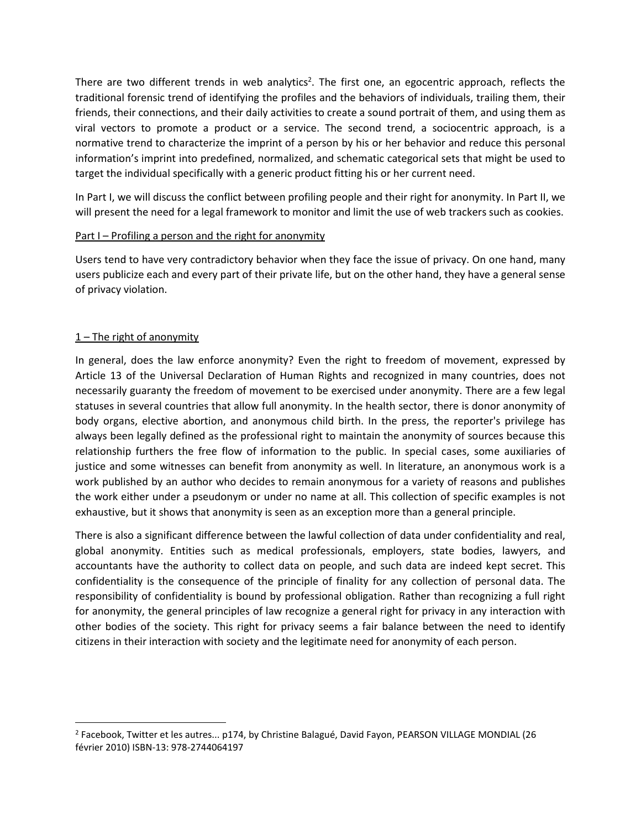There are two different trends in web analytics<sup>2</sup>. The first one, an egocentric approach, reflects the traditional forensic trend of identifying the profiles and the behaviors of individuals, trailing them, their friends, their connections, and their daily activities to create a sound portrait of them, and using them as viral vectors to promote a product or a service. The second trend, a sociocentric approach, is a normative trend to characterize the imprint of a person by his or her behavior and reduce this personal information's imprint into predefined, normalized, and schematic categorical sets that might be used to target the individual specifically with a generic product fitting his or her current need.

In Part I, we will discuss the conflict between profiling people and their right for anonymity. In Part II, we will present the need for a legal framework to monitor and limit the use of web trackers such as cookies.

## Part I – Profiling a person and the right for anonymity

Users tend to have very contradictory behavior when they face the issue of privacy. On one hand, many users publicize each and every part of their private life, but on the other hand, they have a general sense of privacy violation.

## $1$  – The right of anonymity

l

In general, does the law enforce anonymity? Even the right to freedom of movement, expressed by Article 13 of the Universal Declaration of Human Rights and recognized in many countries, does not necessarily guaranty the freedom of movement to be exercised under anonymity. There are a few legal statuses in several countries that allow full anonymity. In the health sector, there is donor anonymity of body organs, elective abortion, and anonymous child birth. In the press, the reporter's privilege has always been legally defined as the professional right to maintain the anonymity of sources because this relationship furthers the free flow of information to the public. In special cases, some auxiliaries of justice and some witnesses can benefit from anonymity as well. In literature, an anonymous work is a work published by an author who decides to remain anonymous for a variety of reasons and publishes the work either under a pseudonym or under no name at all. This collection of specific examples is not exhaustive, but it shows that anonymity is seen as an exception more than a general principle.

There is also a significant difference between the lawful collection of data under confidentiality and real, global anonymity. Entities such as medical professionals, employers, state bodies, lawyers, and accountants have the authority to collect data on people, and such data are indeed kept secret. This confidentiality is the consequence of the principle of finality for any collection of personal data. The responsibility of confidentiality is bound by professional obligation. Rather than recognizing a full right for anonymity, the general principles of law recognize a general right for privacy in any interaction with other bodies of the society. This right for privacy seems a fair balance between the need to identify citizens in their interaction with society and the legitimate need for anonymity of each person.

<sup>&</sup>lt;sup>2</sup> Facebook, Twitter et les autres... p174, by Christine Balagué, David Fayon, PEARSON VILLAGE MONDIAL (26 février 2010) ISBN-13: 978-2744064197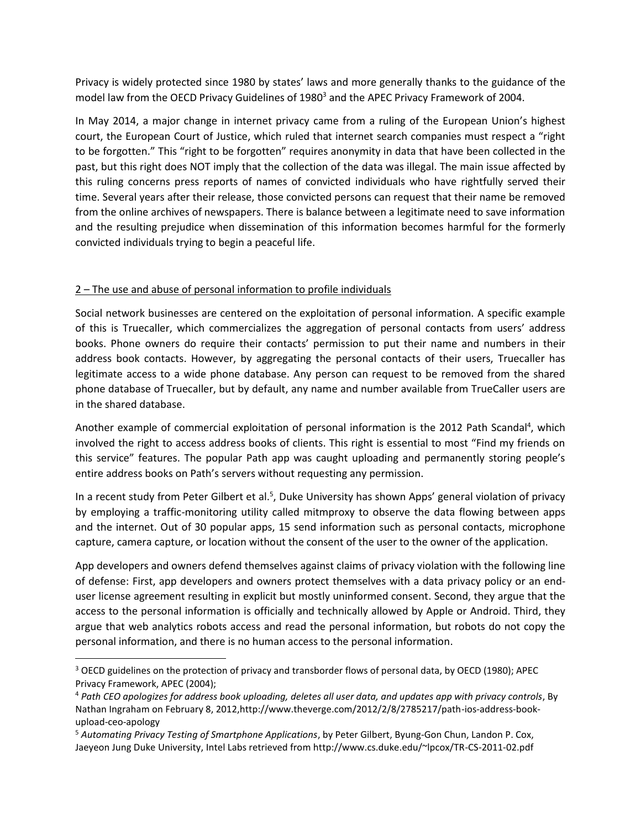Privacy is widely protected since 1980 by states' laws and more generally thanks to the guidance of the model law from the OECD Privacy Guidelines of 1980<sup>3</sup> and the APEC Privacy Framework of 2004.

In May 2014, a major change in internet privacy came from a ruling of the European Union's highest court, the European Court of Justice, which ruled that internet search companies must respect a "right to be forgotten." This "right to be forgotten" requires anonymity in data that have been collected in the past, but this right does NOT imply that the collection of the data was illegal. The main issue affected by this ruling concerns press reports of names of convicted individuals who have rightfully served their time. Several years after their release, those convicted persons can request that their name be removed from the online archives of newspapers. There is balance between a legitimate need to save information and the resulting prejudice when dissemination of this information becomes harmful for the formerly convicted individuals trying to begin a peaceful life.

# 2 – The use and abuse of personal information to profile individuals

 $\overline{\phantom{a}}$ 

Social network businesses are centered on the exploitation of personal information. A specific example of this is Truecaller, which commercializes the aggregation of personal contacts from users' address books. Phone owners do require their contacts' permission to put their name and numbers in their address book contacts. However, by aggregating the personal contacts of their users, Truecaller has legitimate access to a wide phone database. Any person can request to be removed from the shared phone database of Truecaller, but by default, any name and number available from TrueCaller users are in the shared database.

Another example of commercial exploitation of personal information is the 2012 Path Scandal<sup>4</sup>, which involved the right to access address books of clients. This right is essential to most "Find my friends on this service" features. The popular Path app was caught uploading and permanently storing people's entire address books on Path's servers without requesting any permission.

In a recent study from Peter Gilbert et al.<sup>5</sup>, Duke University has shown Apps' general violation of privacy by employing a traffic-monitoring utility called mitmproxy to observe the data flowing between apps and the internet. Out of 30 popular apps, 15 send information such as personal contacts, microphone capture, camera capture, or location without the consent of the user to the owner of the application.

App developers and owners defend themselves against claims of privacy violation with the following line of defense: First, app developers and owners protect themselves with a data privacy policy or an enduser license agreement resulting in explicit but mostly uninformed consent. Second, they argue that the access to the personal information is officially and technically allowed by Apple or Android. Third, they argue that web analytics robots access and read the personal information, but robots do not copy the personal information, and there is no human access to the personal information.

<sup>&</sup>lt;sup>3</sup> OECD guidelines on the protection of privacy and transborder flows of personal data, by OECD (1980); APEC Privacy Framework, APEC (2004);

<sup>4</sup> *Path CEO apologizes for address book uploading, deletes all user data, and updates app with privacy controls*, By Nathan Ingraham on February 8, 2012,http://www.theverge.com/2012/2/8/2785217/path-ios-address-bookupload-ceo-apology

<sup>5</sup> *Automating Privacy Testing of Smartphone Applications*, by Peter Gilbert, Byung-Gon Chun, Landon P. Cox, Jaeyeon Jung Duke University, Intel Labs retrieved from http://www.cs.duke.edu/~lpcox/TR-CS-2011-02.pdf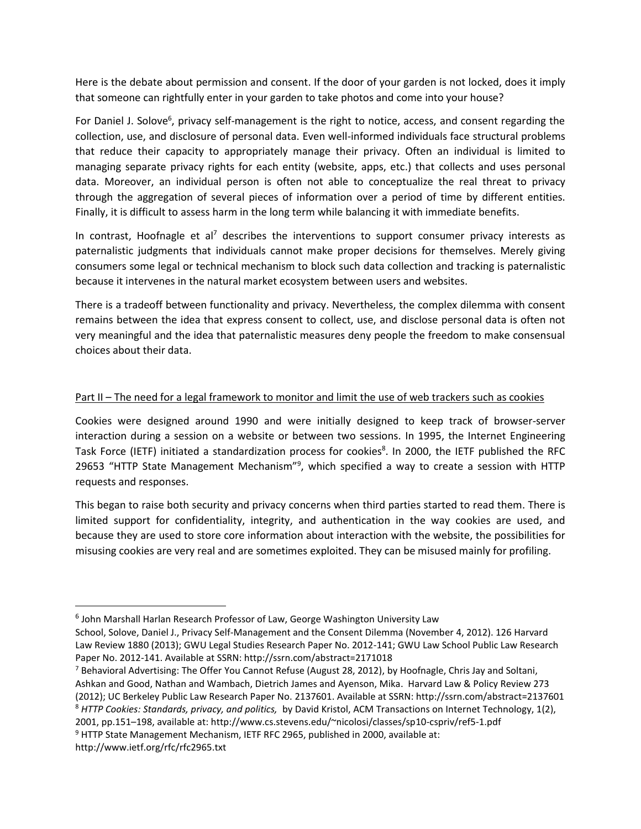Here is the debate about permission and consent. If the door of your garden is not locked, does it imply that someone can rightfully enter in your garden to take photos and come into your house?

For Daniel J. Solove<sup>6</sup>, privacy self-management is the right to notice, access, and consent regarding the collection, use, and disclosure of personal data. Even well-informed individuals face structural problems that reduce their capacity to appropriately manage their privacy. Often an individual is limited to managing separate privacy rights for each entity (website, apps, etc.) that collects and uses personal data. Moreover, an individual person is often not able to conceptualize the real threat to privacy through the aggregation of several pieces of information over a period of time by different entities. Finally, it is difficult to assess harm in the long term while balancing it with immediate benefits.

In contrast, Hoofnagle et al<sup>7</sup> describes the interventions to support consumer privacy interests as paternalistic judgments that individuals cannot make proper decisions for themselves. Merely giving consumers some legal or technical mechanism to block such data collection and tracking is paternalistic because it intervenes in the natural market ecosystem between users and websites.

There is a tradeoff between functionality and privacy. Nevertheless, the complex dilemma with consent remains between the idea that express consent to collect, use, and disclose personal data is often not very meaningful and the idea that paternalistic measures deny people the freedom to make consensual choices about their data.

# Part II – The need for a legal framework to monitor and limit the use of web trackers such as cookies

Cookies were designed around 1990 and were initially designed to keep track of browser-server interaction during a session on a website or between two sessions. In 1995, the Internet Engineering Task Force (IETF) initiated a standardization process for cookies<sup>8</sup>. In 2000, the IETF published the RFC 29653 "HTTP State Management Mechanism"<sup>9</sup>, which specified a way to create a session with HTTP requests and responses.

This began to raise both security and privacy concerns when third parties started to read them. There is limited support for confidentiality, integrity, and authentication in the way cookies are used, and because they are used to store core information about interaction with the website, the possibilities for misusing cookies are very real and are sometimes exploited. They can be misused mainly for profiling.

 $\overline{\phantom{a}}$ 

<sup>9</sup> HTTP State Management Mechanism, IETF RFC 2965, published in 2000, available at: http://www.ietf.org/rfc/rfc2965.txt

<sup>&</sup>lt;sup>6</sup> John Marshall Harlan Research Professor of Law, George Washington University Law

School, Solove, Daniel J., Privacy Self-Management and the Consent Dilemma (November 4, 2012). 126 Harvard Law Review 1880 (2013); GWU Legal Studies Research Paper No. 2012-141; GWU Law School Public Law Research Paper No. 2012-141. Available at SSRN: http://ssrn.com/abstract=2171018

<sup>&</sup>lt;sup>7</sup> Behavioral Advertising: The Offer You Cannot Refuse (August 28, 2012), by Hoofnagle, Chris Jay and Soltani, Ashkan and Good, Nathan and Wambach, Dietrich James and Ayenson, Mika. Harvard Law & Policy Review 273 (2012); UC Berkeley Public Law Research Paper No. 2137601. Available at SSRN: http://ssrn.com/abstract=2137601 <sup>8</sup> *HTTP Cookies: Standards, privacy, and politics,* by David Kristol, ACM Transactions on Internet Technology, 1(2), 2001, pp.151–198, available at: http://www.cs.stevens.edu/~nicolosi/classes/sp10-cspriv/ref5-1.pdf